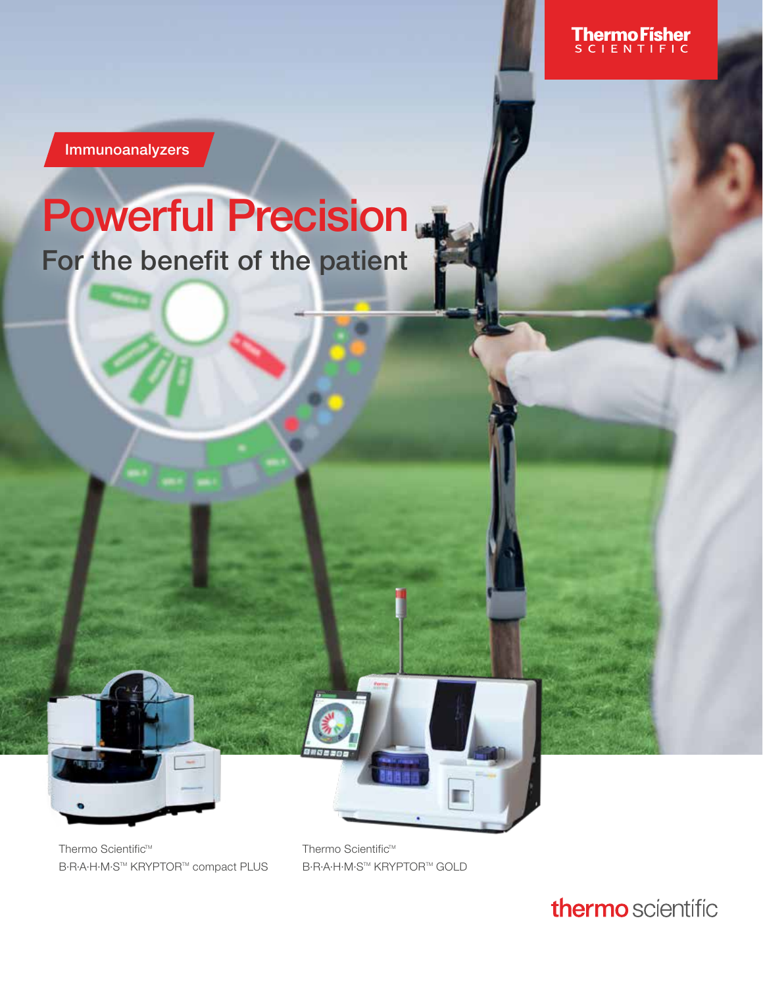Immunoanalyzers

# Powerful Precision

For the benefit of the patient

Thermo Scientific™ B·R·A·H·M·S™ KRYPTOR™ compact PLUS

Thermo Scientific™ **B·R·A·H·M·S™ KRYPTOR™ GOLD** 

### thermo scientific

**ThermoFisher**<br>SCLENTIFIC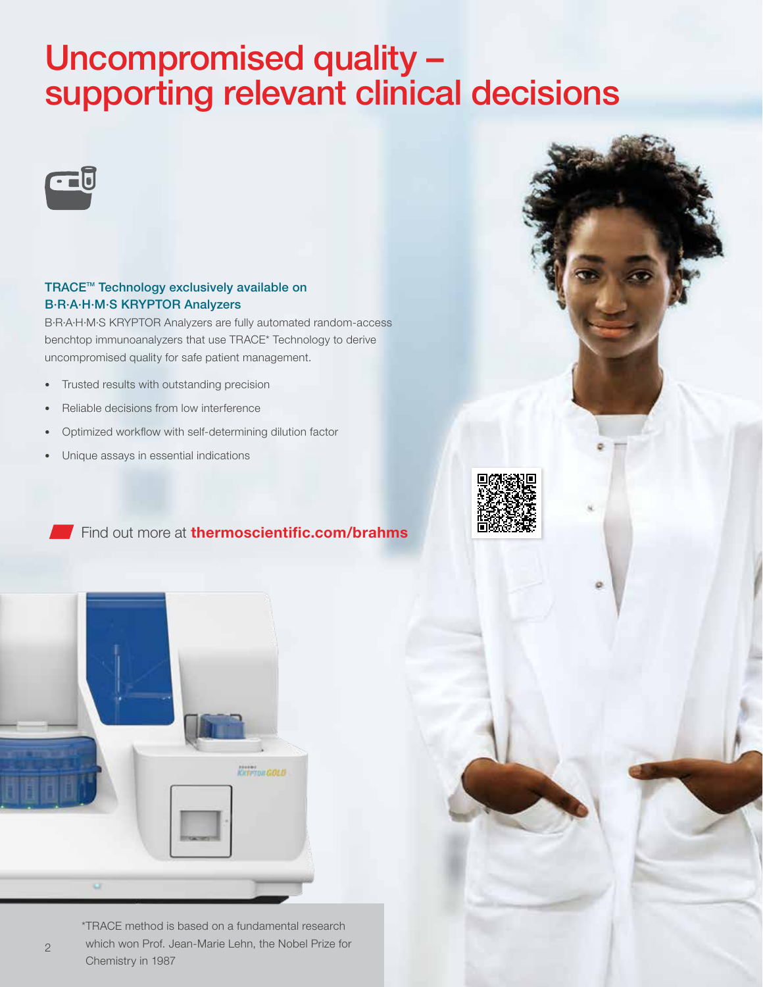# Uncompromised quality – supporting relevant clinical decisions



#### TRACE<sup>™</sup> Technology exclusively available on B·R·A·H·M·S KRYPTOR Analyzers

B·R·A·H·M·S KRYPTOR Analyzers are fully automated random-access benchtop immunoanalyzers that use TRACE\* Technology to derive uncompromised quality for safe patient management.

- Trusted results with outstanding precision
- Reliable decisions from low interference
- Optimized workflow with self-determining dilution factor
- Unique assays in essential indications



Find out more at **[thermoscientific.com/brahms](https://www.brahms-instruments.com/?utm_source=imagebro&utm_medium=qr_code&utm_campaign=umbrella)** 



\*TRACE method is based on a fundamental research which won Prof. Jean-Marie Lehn, the Nobel Prize for Chemistry in 1987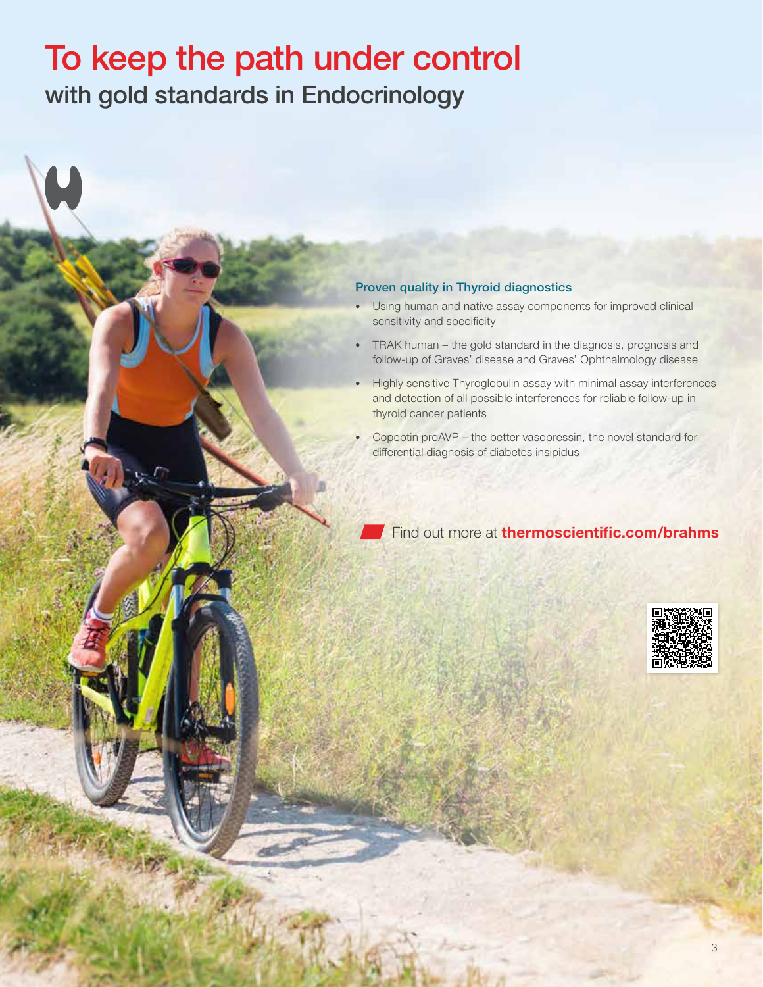## To keep the path under control with gold standards in Endocrinology

#### Proven quality in Thyroid diagnostics

- Using human and native assay components for improved clinical sensitivity and specificity
- TRAK human the gold standard in the diagnosis, prognosis and follow-up of Graves' disease and Graves' Ophthalmology disease
- Highly sensitive Thyroglobulin assay with minimal assay interferences and detection of all possible interferences for reliable follow-up in thyroid cancer patients
- Copeptin proAVP the better vasopressin, the novel standard for differential diagnosis of diabetes insipidus

Find out more at [thermoscientific.com/brahms](https://www.brahms.de/products/endocrinology.html/?utm_source=imagebro&utm_medium=qr_code&utm_campaign=umbrella)

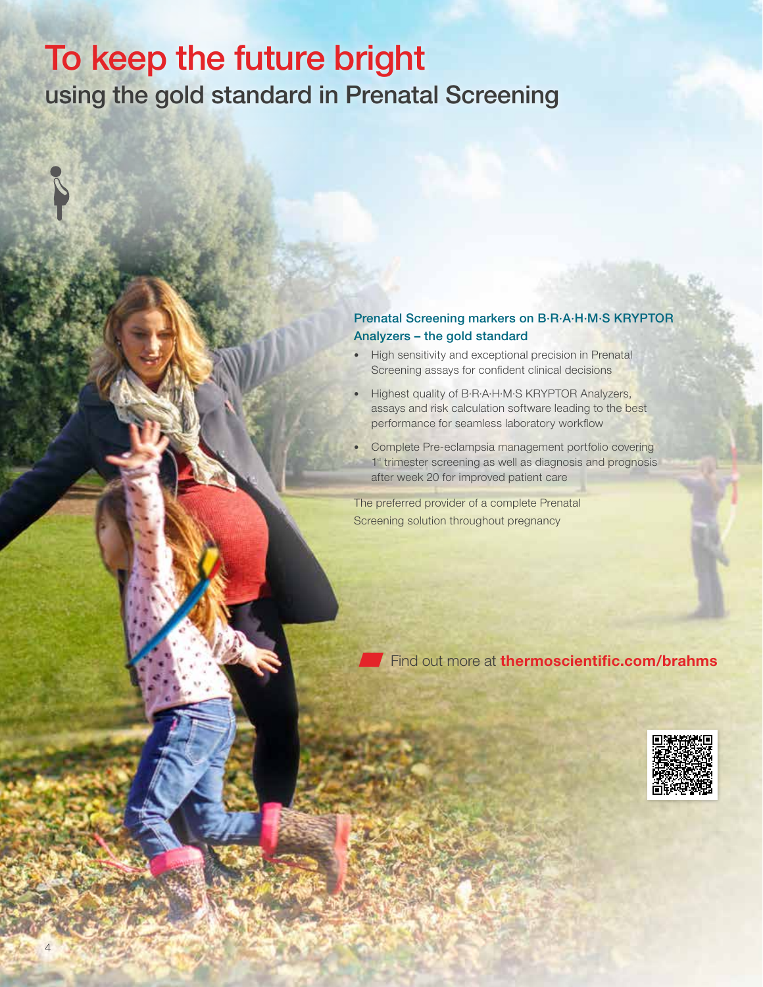### To keep the future bright using the gold standard in Prenatal Screening

#### Prenatal Screening markers on B·R·A·H·M·S KRYPTOR Analyzers – the gold standard

- High sensitivity and exceptional precision in Prenatal Screening assays for confident clinical decisions
- Highest quality of B·R·A·H·M·S KRYPTOR Analyzers, assays and risk calculation software leading to the best performance for seamless laboratory workflow
- Complete Pre-eclampsia management portfolio covering 1<sup>st</sup> trimester screening as well as diagnosis and prognosis after week 20 for improved patient care

The preferred provider of a complete Prenatal Screening solution throughout pregnancy

Find out more at [thermoscientific.com/brahms](https://www.brahms.de/products/prenatal-screening.html/?utm_source=imagebro&utm_medium=qr_code&utm_campaign=umbrella)

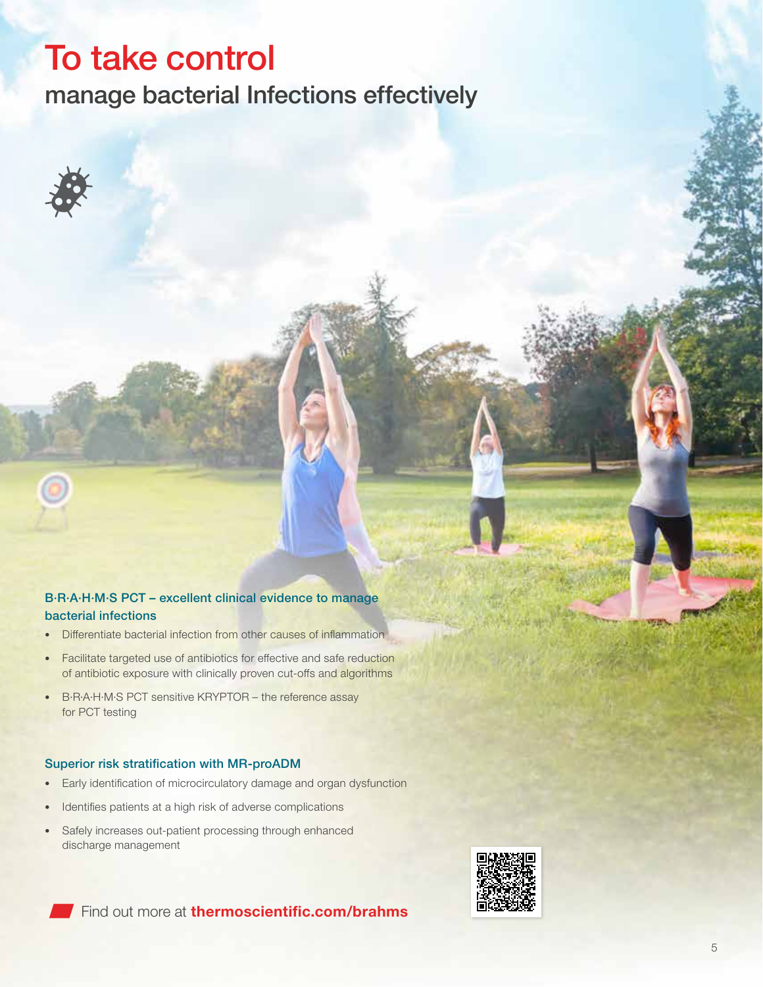## To take control

manage bacterial Infections effectively

#### B·R·A·H·M·S PCT – excellent clinical evidence to manage bacterial infections

- Differentiate bacterial infection from other causes of inflammation
- Facilitate targeted use of antibiotics for effective and safe reduction of antibiotic exposure with clinically proven cut-offs and algorithms
- B·R·A·H·M·S PCT sensitive KRYPTOR the reference assay for PCT testing

#### Superior risk stratification with MR-proADM

- Early identification of microcirculatory damage and organ dysfunction
- Identifies patients at a high risk of adverse complications
- Safely increases out-patient processing through enhanced discharge management



Find out more at **[thermoscientific.com/brahms](https://www.procalcitonin.com/?utm_source=imagebro&utm_medium=qr_code&utm_campaign=umbrella)**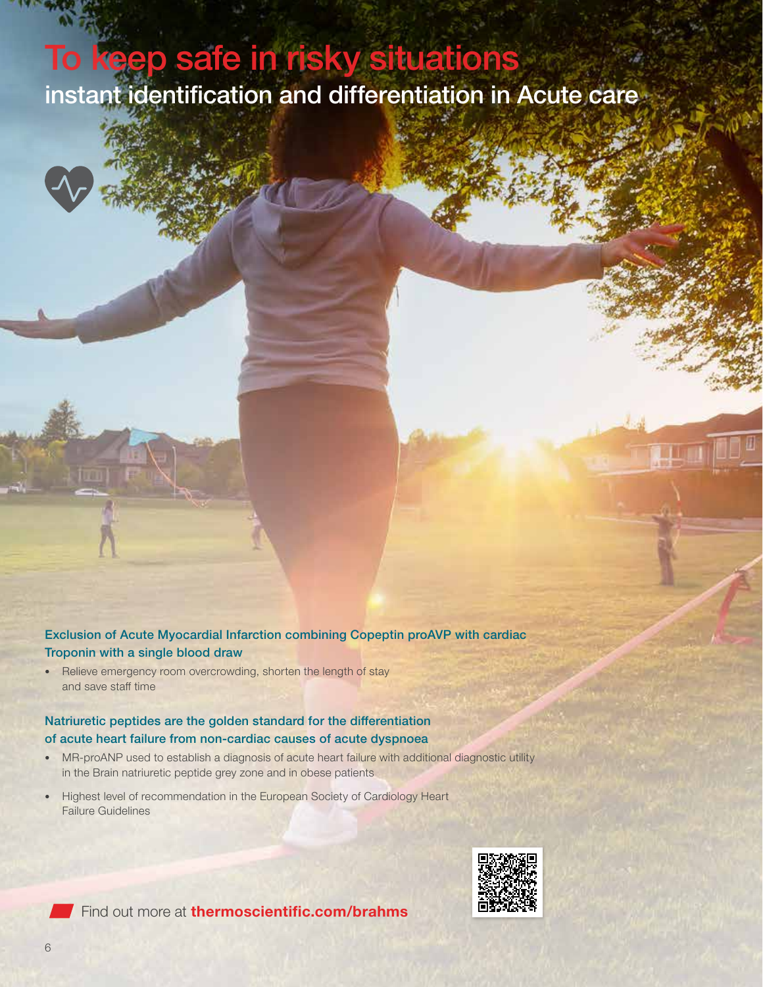# To keep safe in risky situation instant identification and differentiation in Acute care



• Relieve emergency room overcrowding, shorten the length of stay and save staff time

#### Natriuretic peptides are the golden standard for the differentiation of acute heart failure from non-cardiac causes of acute dyspnoea

- MR-proANP used to establish a diagnosis of acute heart failure with additional diagnostic utility in the Brain natriuretic peptide grey zone and in obese patients
- Highest level of recommendation in the European Society of Cardiology Heart Failure Guidelines





Find out more at **[thermoscientific.com/brahms](https://www.copeptin.com/?utm_source=imagebro&utm_medium=qr_code&utm_campaign=umbrella)**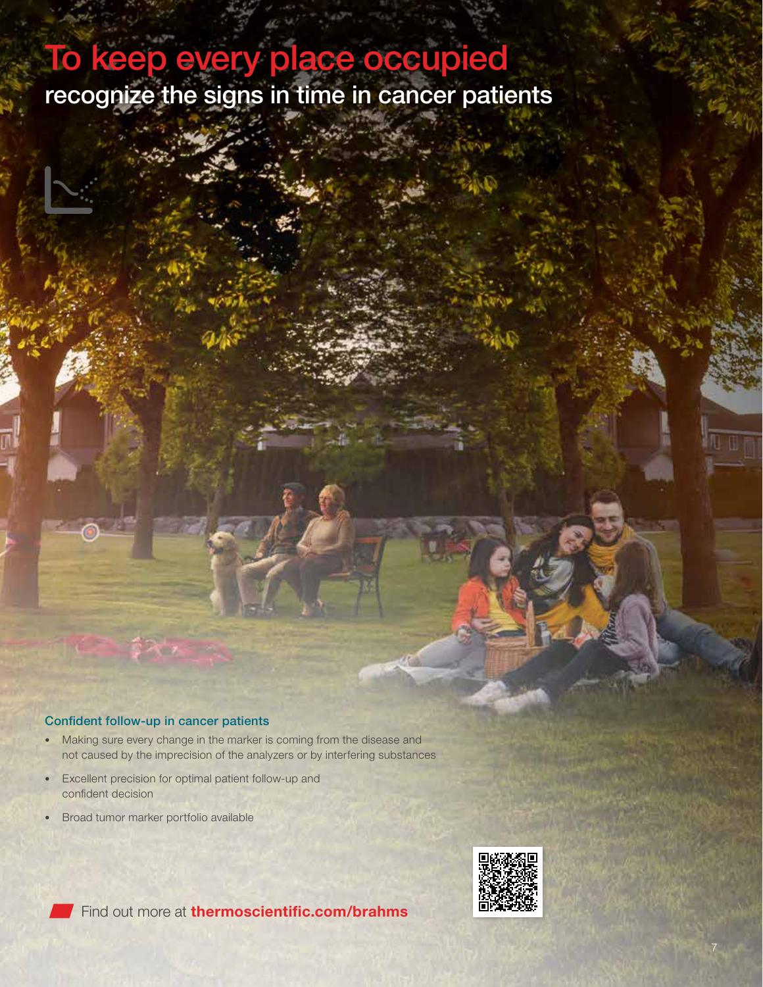### To keep every place occupied recognize the signs in time in cancer patients

#### Confident follow-up in cancer patients

- Making sure every change in the marker is coming from the disease and not caused by the imprecision of the analyzers or by interfering substances
- Excellent precision for optimal patient follow-up and confident decision
- Broad tumor marker portfolio available





Find out more at **[thermoscientific.com/brahms](https://www.brahms.de/products/oncology.html/?utm_source=imagebro&utm_medium=qr_code&utm_campaign=umbrella)**